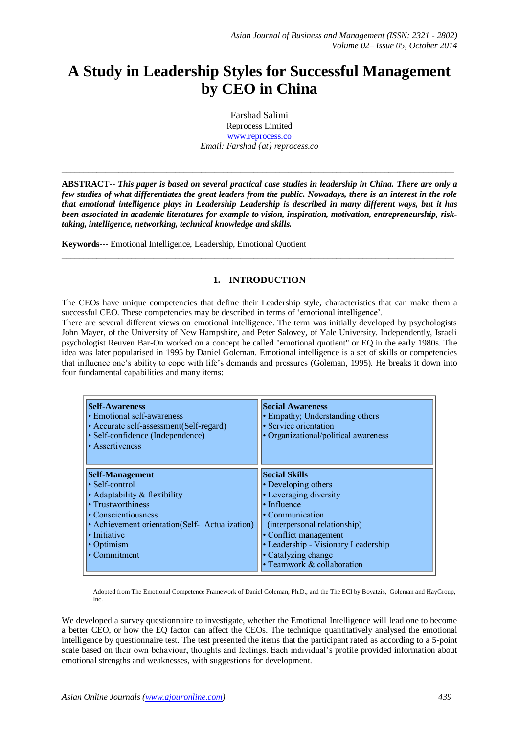# **A Study in Leadership Styles for Successful Management by CEO in China**

Farshad Salimi Reprocess Limited [www.reprocess.co](http://www.reprocess.co/) *Email: Farshad {at} reprocess.co*

**ABSTRACT**-- *This paper is based on several practical case studies in leadership in China. There are only a few studies of what differentiates the great leaders from the public. Nowadays, there is an interest in the role that emotional intelligence plays in Leadership Leadership is described in many different ways, but it has been associated in academic literatures for example to vision, inspiration, motivation, entrepreneurship, risktaking, intelligence, networking, technical knowledge and skills.* 

\_\_\_\_\_\_\_\_\_\_\_\_\_\_\_\_\_\_\_\_\_\_\_\_\_\_\_\_\_\_\_\_\_\_\_\_\_\_\_\_\_\_\_\_\_\_\_\_\_\_\_\_\_\_\_\_\_\_\_\_\_\_\_\_\_\_\_\_\_\_\_\_\_\_\_\_\_\_\_\_\_\_\_\_\_\_\_\_\_\_

**Keywords**--- Emotional Intelligence, Leadership, Emotional Quotient

## **1. INTRODUCTION**

\_\_\_\_\_\_\_\_\_\_\_\_\_\_\_\_\_\_\_\_\_\_\_\_\_\_\_\_\_\_\_\_\_\_\_\_\_\_\_\_\_\_\_\_\_\_\_\_\_\_\_\_\_\_\_\_\_\_\_\_\_\_\_\_\_\_\_\_\_\_\_\_\_\_\_\_\_\_\_\_\_\_\_\_\_\_\_\_\_\_

The CEOs have unique competencies that define their Leadership style, characteristics that can make them a successful CEO. These competencies may be described in terms of 'emotional intelligence'.

There are several different views on emotional intelligence. The term was initially developed by psychologists John Mayer, of the University of New Hampshire, and Peter Salovey, of Yale University. Independently, Israeli psychologist Reuven Bar-On worked on a concept he called "emotional quotient" or EQ in the early 1980s. The idea was later popularised in 1995 by Daniel Goleman. Emotional intelligence is a set of skills or competencies that influence one's ability to cope with life's demands and pressures (Goleman, 1995). He breaks it down into four fundamental capabilities and many items:

| • Empathy; Understanding others<br>• Service orientation<br>• Organizational/political awareness                                                                                                                                           |
|--------------------------------------------------------------------------------------------------------------------------------------------------------------------------------------------------------------------------------------------|
| <b>Social Skills</b><br>• Developing others<br>• Leveraging diversity<br>$\cdot$ Influence<br>$\cdot$ Communication<br>(interpersonal relationship)<br>• Conflict management<br>• Leadership - Visionary Leadership<br>• Catalyzing change |
| • Teamwork $&$ collaboration                                                                                                                                                                                                               |

Adopted from The Emotional Competence Framework of Daniel Goleman, Ph.D., and the The ECI by Boyatzis, Goleman and HayGroup, Inc.

We developed a survey questionnaire to investigate, whether the Emotional Intelligence will lead one to become a better CEO, or how the EQ factor can affect the CEOs. The technique quantitatively analysed the emotional intelligence by questionnaire test. The test presented the items that the participant rated as according to a 5-point scale based on their own behaviour, thoughts and feelings. Each individual's profile provided information about emotional strengths and weaknesses, with suggestions for development.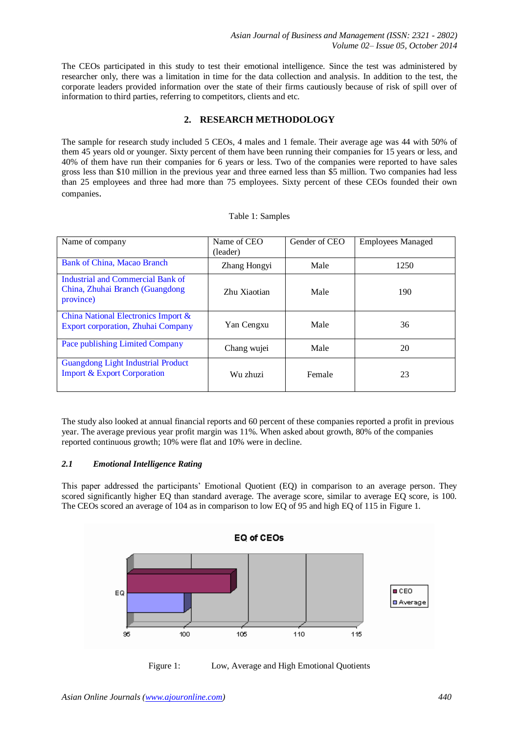The CEOs participated in this study to test their emotional intelligence. Since the test was administered by researcher only, there was a limitation in time for the data collection and analysis. In addition to the test, the corporate leaders provided information over the state of their firms cautiously because of risk of spill over of information to third parties, referring to competitors, clients and etc.

# **2. RESEARCH METHODOLOGY**

The sample for research study included 5 CEOs, 4 males and 1 female. Their average age was 44 with 50% of them 45 years old or younger. Sixty percent of them have been running their companies for 15 years or less, and 40% of them have run their companies for 6 years or less. Two of the companies were reported to have sales gross less than \$10 million in the previous year and three earned less than \$5 million. Two companies had less than 25 employees and three had more than 75 employees. Sixty percent of these CEOs founded their own companies.

|  | Table 1: Samples |  |
|--|------------------|--|
|--|------------------|--|

| Name of company                                                                     | Name of CEO<br>(leader) | Gender of CEO | <b>Employees Managed</b> |  |
|-------------------------------------------------------------------------------------|-------------------------|---------------|--------------------------|--|
| <b>Bank of China, Macao Branch</b>                                                  | Zhang Hongyi            | Male          | 1250                     |  |
| Industrial and Commercial Bank of<br>China, Zhuhai Branch (Guangdong)<br>province)  | Zhu Xiaotian            | Male          | 190                      |  |
| China National Electronics Import &<br>Export corporation, Zhuhai Company           | Yan Cengxu              | Male          | 36                       |  |
| Pace publishing Limited Company                                                     | Chang wujei             | Male          | 20                       |  |
| <b>Guangdong Light Industrial Product</b><br><b>Import &amp; Export Corporation</b> | Wu zhuzi                | Female        | 23                       |  |

The study also looked at annual financial reports and 60 percent of these companies reported a profit in previous year. The average previous year profit margin was 11%. When asked about growth, 80% of the companies reported continuous growth; 10% were flat and 10% were in decline.

### *2.1 Emotional Intelligence Rating*

This paper addressed the participants' Emotional Quotient (EQ) in comparison to an average person. They scored significantly higher EQ than standard average. The average score, similar to average EQ score, is 100. The CEOs scored an average of 104 as in comparison to low EQ of 95 and high EQ of 115 in Figure 1.



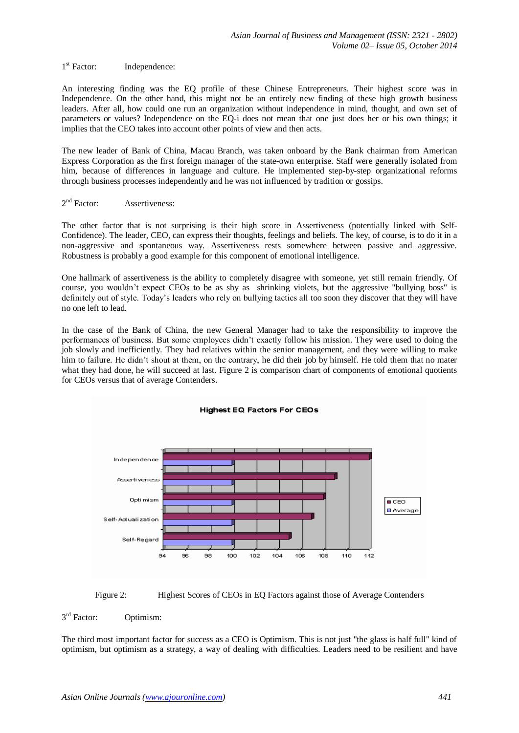$1<sup>st</sup>$  Factor: Independence:

An interesting finding was the EQ profile of these Chinese Entrepreneurs. Their highest score was in Independence. On the other hand, this might not be an entirely new finding of these high growth business leaders. After all, how could one run an organization without independence in mind, thought, and own set of parameters or values? Independence on the EQ-i does not mean that one just does her or his own things; it implies that the CEO takes into account other points of view and then acts.

The new leader of Bank of China, Macau Branch, was taken onboard by the Bank chairman from American Express Corporation as the first foreign manager of the state-own enterprise. Staff were generally isolated from him, because of differences in language and culture. He implemented step-by-step organizational reforms through business processes independently and he was not influenced by tradition or gossips.

#### $2<sup>nd</sup> Factor$ Assertiveness:

The other factor that is not surprising is their high score in Assertiveness (potentially linked with Self-Confidence). The leader, CEO, can express their thoughts, feelings and beliefs. The key, of course, is to do it in a non-aggressive and spontaneous way. Assertiveness rests somewhere between passive and aggressive. Robustness is probably a good example for this component of emotional intelligence.

One hallmark of assertiveness is the ability to completely disagree with someone, yet still remain friendly. Of course, you wouldn't expect CEOs to be as shy as shrinking violets, but the aggressive "bullying boss" is definitely out of style. Today's leaders who rely on bullying tactics all too soon they discover that they will have no one left to lead.

In the case of the Bank of China, the new General Manager had to take the responsibility to improve the performances of business. But some employees didn't exactly follow his mission. They were used to doing the job slowly and inefficiently. They had relatives within the senior management, and they were willing to make him to failure. He didn't shout at them, on the contrary, he did their job by himself. He told them that no mater what they had done, he will succeed at last. Figure 2 is comparison chart of components of emotional quotients for CEOs versus that of average Contenders.





Figure 2: Highest Scores of CEOs in EQ Factors against those of Average Contenders

#### $3<sup>rd</sup>$  Factor: Optimism:

The third most important factor for success as a CEO is Optimism. This is not just "the glass is half full" kind of optimism, but optimism as a strategy, a way of dealing with difficulties. Leaders need to be resilient and have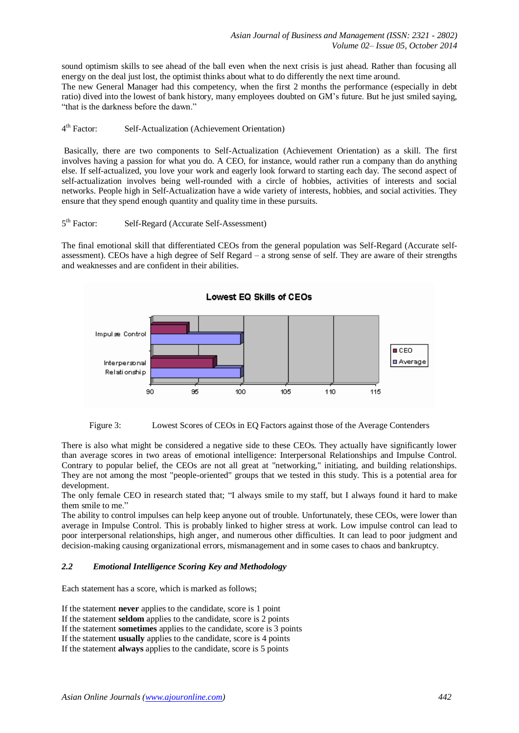sound optimism skills to see ahead of the ball even when the next crisis is just ahead. Rather than focusing all energy on the deal just lost, the optimist thinks about what to do differently the next time around. The new General Manager had this competency, when the first 2 months the performance (especially in debt ratio) dived into the lowest of bank history, many employees doubted on GM's future. But he just smiled saying, "that is the darkness before the dawn."

#### $4<sup>th</sup> Factor$ : Self-Actualization (Achievement Orientation)

Basically, there are two components to Self-Actualization (Achievement Orientation) as a skill. The first involves having a passion for what you do. A CEO, for instance, would rather run a company than do anything else. If self-actualized, you love your work and eagerly look forward to starting each day. The second aspect of self-actualization involves being well-rounded with a circle of hobbies, activities of interests and social networks. People high in Self-Actualization have a wide variety of interests, hobbies, and social activities. They ensure that they spend enough quantity and quality time in these pursuits.

#### $5<sup>th</sup> Factor$ Self-Regard (Accurate Self-Assessment)

The final emotional skill that differentiated CEOs from the general population was Self-Regard (Accurate selfassessment). CEOs have a high degree of Self Regard – a strong sense of self. They are aware of their strengths and weaknesses and are confident in their abilities.



Figure 3: Lowest Scores of CEOs in EQ Factors against those of the Average Contenders

There is also what might be considered a negative side to these CEOs. They actually have significantly lower than average scores in two areas of emotional intelligence: Interpersonal Relationships and Impulse Control. Contrary to popular belief, the CEOs are not all great at "networking," initiating, and building relationships. They are not among the most "people-oriented" groups that we tested in this study. This is a potential area for development.

The only female CEO in research stated that; "I always smile to my staff, but I always found it hard to make them smile to me."

The ability to control impulses can help keep anyone out of trouble. Unfortunately, these CEOs, were lower than average in Impulse Control. This is probably linked to higher stress at work. Low impulse control can lead to poor interpersonal relationships, high anger, and numerous other difficulties. It can lead to poor judgment and decision-making causing organizational errors, mismanagement and in some cases to chaos and bankruptcy.

### *2.2 Emotional Intelligence Scoring Key and Methodology*

Each statement has a score, which is marked as follows;

If the statement **never** applies to the candidate, score is 1 point

If the statement **seldom** applies to the candidate, score is 2 points

If the statement **sometimes** applies to the candidate, score is 3 points

If the statement **usually** applies to the candidate, score is 4 points If the statement **always** applies to the candidate, score is 5 points

*Asian Online Journals (www.ajouronline.com) 442*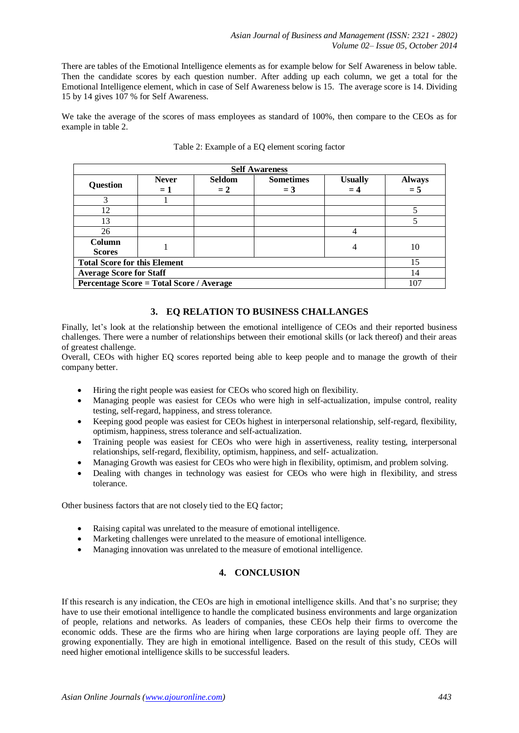There are tables of the Emotional Intelligence elements as for example below for Self Awareness in below table. Then the candidate scores by each question number. After adding up each column, we get a total for the Emotional Intelligence element, which in case of Self Awareness below is 15. The average score is 14. Dividing 15 by 14 gives 107 % for Self Awareness.

We take the average of the scores of mass employees as standard of 100%, then compare to the CEOs as for example in table 2.

| <b>Self Awareness</b>                    |                       |                        |                           |                        |                        |  |  |  |
|------------------------------------------|-----------------------|------------------------|---------------------------|------------------------|------------------------|--|--|--|
| Question                                 | <b>Never</b><br>$= 1$ | <b>Seldom</b><br>$= 2$ | <b>Sometimes</b><br>$= 3$ | <b>Usually</b><br>$=4$ | <b>Always</b><br>$= 5$ |  |  |  |
| 3                                        |                       |                        |                           |                        |                        |  |  |  |
| 12                                       |                       |                        |                           |                        |                        |  |  |  |
| 13                                       |                       |                        |                           |                        |                        |  |  |  |
| 26                                       |                       |                        |                           |                        |                        |  |  |  |
| <b>Column</b><br><b>Scores</b>           |                       |                        |                           | 4                      | 10                     |  |  |  |
| <b>Total Score for this Element</b>      |                       |                        |                           |                        | 15                     |  |  |  |
| <b>Average Score for Staff</b>           |                       |                        |                           |                        | 14                     |  |  |  |
| Percentage Score = Total Score / Average |                       |                        |                           |                        | 107                    |  |  |  |

Table 2: Example of a EQ element scoring factor

## **3. EQ RELATION TO BUSINESS CHALLANGES**

Finally, let's look at the relationship between the emotional intelligence of CEOs and their reported business challenges. There were a number of relationships between their emotional skills (or lack thereof) and their areas of greatest challenge.

Overall, CEOs with higher EQ scores reported being able to keep people and to manage the growth of their company better.

- Hiring the right people was easiest for CEOs who scored high on flexibility.
- Managing people was easiest for CEOs who were high in self-actualization, impulse control, reality testing, self-regard, happiness, and stress tolerance.
- Keeping good people was easiest for CEOs highest in interpersonal relationship, self-regard, flexibility, optimism, happiness, stress tolerance and self-actualization.
- Training people was easiest for CEOs who were high in assertiveness, reality testing, interpersonal relationships, self-regard, flexibility, optimism, happiness, and self- actualization.
- Managing Growth was easiest for CEOs who were high in flexibility, optimism, and problem solving.
- Dealing with changes in technology was easiest for CEOs who were high in flexibility, and stress tolerance.

Other business factors that are not closely tied to the EQ factor;

- Raising capital was unrelated to the measure of emotional intelligence.
- Marketing challenges were unrelated to the measure of emotional intelligence.
- Managing innovation was unrelated to the measure of emotional intelligence.

# **4. CONCLUSION**

If this research is any indication, the CEOs are high in emotional intelligence skills. And that's no surprise; they have to use their emotional intelligence to handle the complicated business environments and large organization of people, relations and networks. As leaders of companies, these CEOs help their firms to overcome the economic odds. These are the firms who are hiring when large corporations are laying people off. They are growing exponentially. They are high in emotional intelligence. Based on the result of this study, CEOs will need higher emotional intelligence skills to be successful leaders.